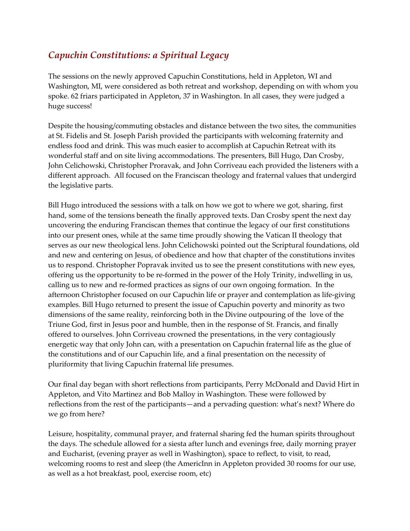## *Capuchin Constitutions: a Spiritual Legacy*

The sessions on the newly approved Capuchin Constitutions, held in Appleton, WI and Washington, MI, were considered as both retreat and workshop, depending on with whom you spoke. 62 friars participated in Appleton, 37 in Washington. In all cases, they were judged a huge success!

Despite the housing/commuting obstacles and distance between the two sites, the communities at St. Fidelis and St. Joseph Parish provided the participants with welcoming fraternity and endless food and drink. This was much easier to accomplish at Capuchin Retreat with its wonderful staff and on site living accommodations. The presenters, Bill Hugo, Dan Crosby, John Celichowski, Christopher Proravak, and John Corriveau each provided the listeners with a different approach. All focused on the Franciscan theology and fraternal values that undergird the legislative parts.

Bill Hugo introduced the sessions with a talk on how we got to where we got, sharing, first hand, some of the tensions beneath the finally approved texts. Dan Crosby spent the next day uncovering the enduring Franciscan themes that continue the legacy of our first constitutions into our present ones, while at the same time proudly showing the Vatican II theology that serves as our new theological lens. John Celichowski pointed out the Scriptural foundations, old and new and centering on Jesus, of obedience and how that chapter of the constitutions invites us to respond. Christopher Popravak invited us to see the present constitutions with new eyes, offering us the opportunity to be re-formed in the power of the Holy Trinity, indwelling in us, calling us to new and re-formed practices as signs of our own ongoing formation. In the afternoon Christopher focused on our Capuchin life or prayer and contemplation as life-giving examples. Bill Hugo returned to present the issue of Capuchin poverty and minority as two dimensions of the same reality, reinforcing both in the Divine outpouring of the love of the Triune God, first in Jesus poor and humble, then in the response of St. Francis, and finally offered to ourselves. John Corriveau crowned the presentations, in the very contagiously energetic way that only John can, with a presentation on Capuchin fraternal life as the glue of the constitutions and of our Capuchin life, and a final presentation on the necessity of pluriformity that living Capuchin fraternal life presumes.

Our final day began with short reflections from participants, Perry McDonald and David Hirt in Appleton, and Vito Martinez and Bob Malloy in Washington. These were followed by reflections from the rest of the participants—and a pervading question: what's next? Where do we go from here?

Leisure, hospitality, communal prayer, and fraternal sharing fed the human spirits throughout the days. The schedule allowed for a siesta after lunch and evenings free, daily morning prayer and Eucharist, (evening prayer as well in Washington), space to reflect, to visit, to read, welcoming rooms to rest and sleep (the AmericInn in Appleton provided 30 rooms for our use, as well as a hot breakfast, pool, exercise room, etc)